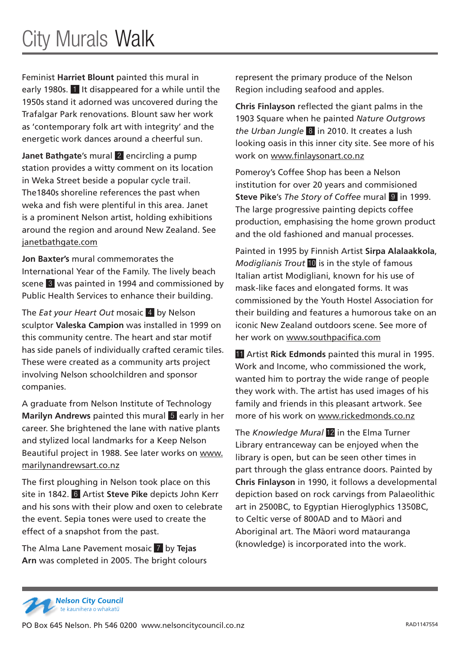Feminist **Harriet Blount** painted this mural in early 1980s. 1 It disappeared for a while until the 1950s stand it adorned was uncovered during the Trafalgar Park renovations. Blount saw her work as 'contemporary folk art with integrity' and the energetic work dances around a cheerful sun.

**Janet Bathgate**'s mural 2 encircling a pump station provides a witty comment on its location in Weka Street beside a popular cycle trail. The1840s shoreline references the past when weka and fish were plentiful in this area. Janet is a prominent Nelson artist, holding exhibitions around the region and around New Zealand. See janetbathgate.com

**Jon Baxter's** mural commemorates the International Year of the Family. The lively beach scene 3 was painted in 1994 and commissioned by Public Health Services to enhance their building.

The *Eat your Heart Out* mosaic 4 by Nelson sculptor **Valeska Campion** was installed in 1999 on this community centre. The heart and star motif has side panels of individually crafted ceramic tiles. These were created as a community arts project involving Nelson schoolchildren and sponsor companies.

A graduate from Nelson Institute of Technology **Marilyn Andrews** painted this mural 5 early in her career. She brightened the lane with native plants and stylized local landmarks for a Keep Nelson Beautiful project in 1988. See later works on www. marilynandrewsart.co.nz

The first ploughing in Nelson took place on this site in 1842. 6 Artist **Steve Pike** depicts John Kerr and his sons with their plow and oxen to celebrate the event. Sepia tones were used to create the effect of a snapshot from the past.

The Alma Lane Pavement mosaic 7 by **Tejas Arn** was completed in 2005. The bright colours represent the primary produce of the Nelson Region including seafood and apples.

**Chris Finlayson** reflected the giant palms in the 1903 Square when he painted *Nature Outgrows the Urban Jungle* 8 in 2010. It creates a lush looking oasis in this inner city site. See more of his work on www.finlaysonart.co.nz

Pomeroy's Coffee Shop has been a Nelson institution for over 20 years and commisioned **Steve Pike's** *The Story of Coffee* mural **9** in 1999. The large progressive painting depicts coffee production, emphasising the home grown product and the old fashioned and manual processes.

Painted in 1995 by Finnish Artist **Sirpa Alalaakkola**, *Modiglianis Trout* 10 is in the style of famous Italian artist Modigliani, known for his use of mask-like faces and elongated forms. It was commissioned by the Youth Hostel Association for their building and features a humorous take on an iconic New Zealand outdoors scene. See more of her work on www.southpacifica.com

11 Artist **Rick Edmonds** painted this mural in 1995. Work and Income, who commissioned the work, wanted him to portray the wide range of people they work with. The artist has used images of his family and friends in this pleasant artwork. See more of his work on www.rickedmonds.co.nz

The *Knowledge Mural* 12 in the Elma Turner Library entranceway can be enjoyed when the library is open, but can be seen other times in part through the glass entrance doors. Painted by **Chris Finlayson** in 1990, it follows a developmental depiction based on rock carvings from Palaeolithic art in 2500BC, to Egyptian Hieroglyphics 1350BC, to Celtic verse of 800AD and to Māori and Aboriginal art. The Māori word matauranga (knowledge) is incorporated into the work.